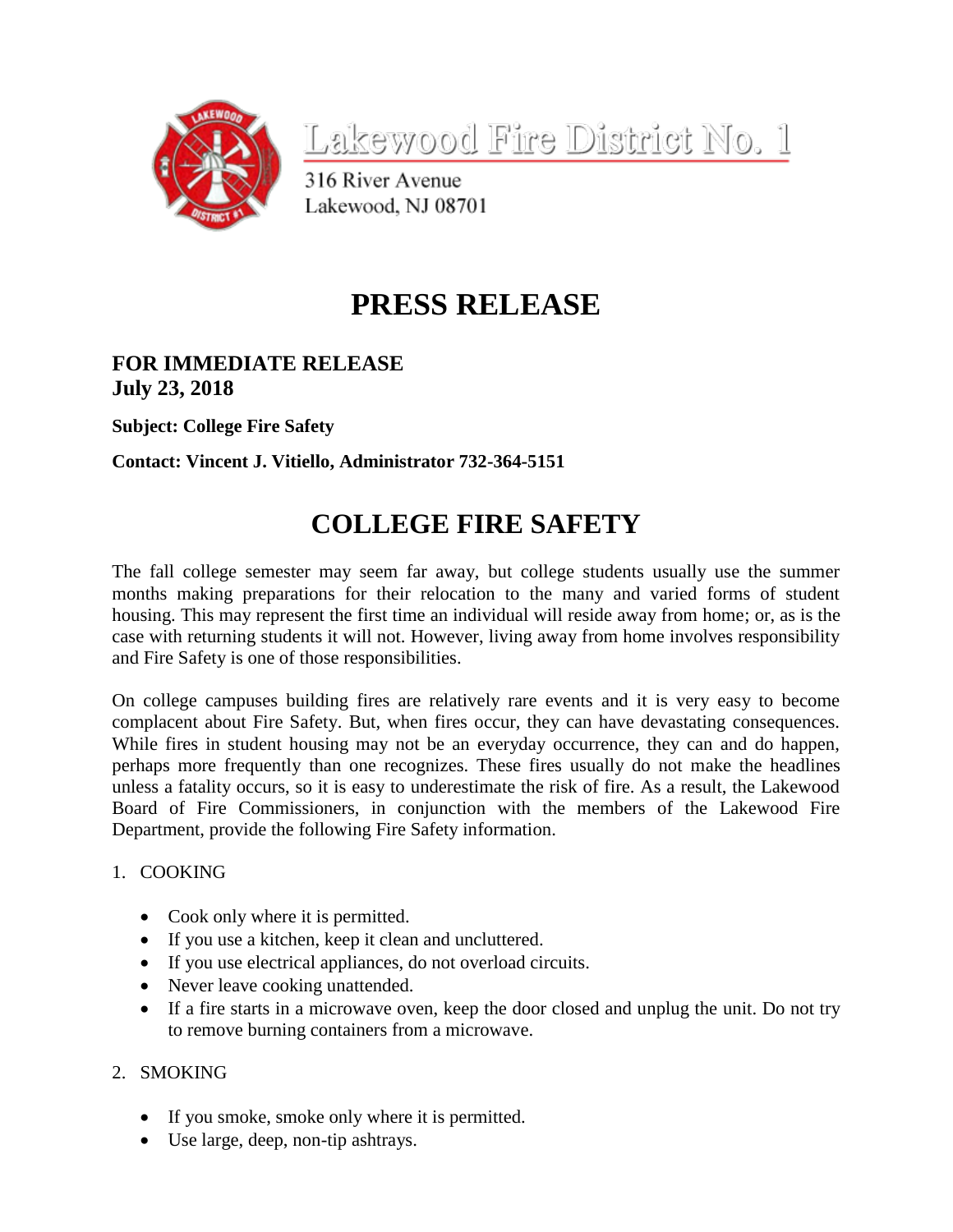

<u>Lakewood Fire District No. 1</u>

316 River Avenue Lakewood, NJ 08701

# **PRESS RELEASE**

# **FOR IMMEDIATE RELEASE July 23, 2018**

**Subject: College Fire Safety**

## **Contact: Vincent J. Vitiello, Administrator 732-364-5151**

# **COLLEGE FIRE SAFETY**

The fall college semester may seem far away, but college students usually use the summer months making preparations for their relocation to the many and varied forms of student housing. This may represent the first time an individual will reside away from home; or, as is the case with returning students it will not. However, living away from home involves responsibility and Fire Safety is one of those responsibilities.

On college campuses building fires are relatively rare events and it is very easy to become complacent about Fire Safety. But, when fires occur, they can have devastating consequences. While fires in student housing may not be an everyday occurrence, they can and do happen, perhaps more frequently than one recognizes. These fires usually do not make the headlines unless a fatality occurs, so it is easy to underestimate the risk of fire. As a result, the Lakewood Board of Fire Commissioners, in conjunction with the members of the Lakewood Fire Department, provide the following Fire Safety information.

### 1. COOKING

- Cook only where it is permitted.
- If you use a kitchen, keep it clean and uncluttered.
- If you use electrical appliances, do not overload circuits.
- Never leave cooking unattended.
- If a fire starts in a microwave oven, keep the door closed and unplug the unit. Do not try to remove burning containers from a microwave.
- 2. SMOKING
	- If you smoke, smoke only where it is permitted.
	- Use large, deep, non-tip ashtrays.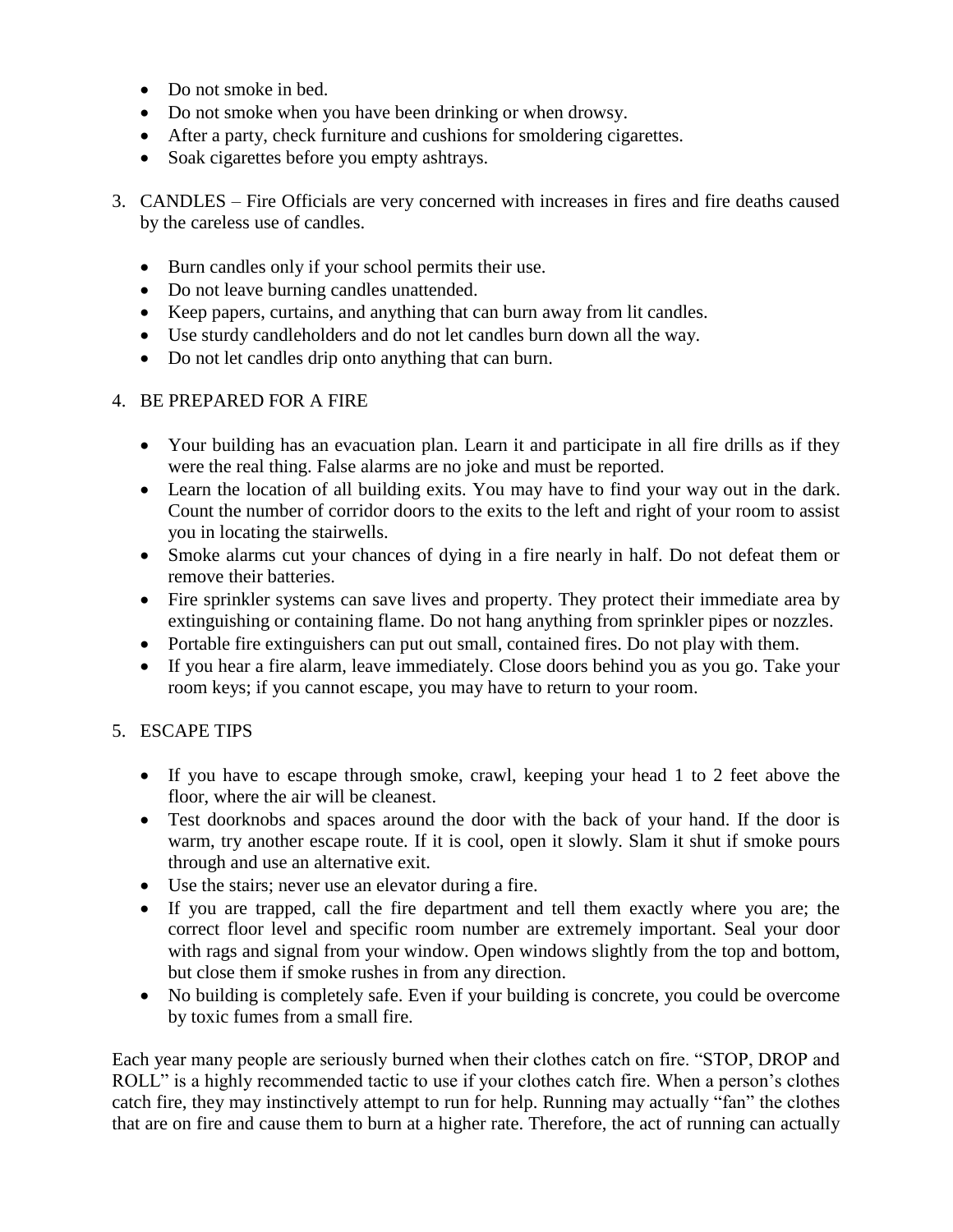- Do not smoke in bed.
- Do not smoke when you have been drinking or when drowsy.
- After a party, check furniture and cushions for smoldering cigarettes.
- Soak cigarettes before you empty ashtrays.
- 3. CANDLES Fire Officials are very concerned with increases in fires and fire deaths caused by the careless use of candles.
	- Burn candles only if your school permits their use.
	- Do not leave burning candles unattended.
	- Keep papers, curtains, and anything that can burn away from lit candles.
	- Use sturdy candleholders and do not let candles burn down all the way.
	- Do not let candles drip onto anything that can burn.

### 4. BE PREPARED FOR A FIRE

- Your building has an evacuation plan. Learn it and participate in all fire drills as if they were the real thing. False alarms are no joke and must be reported.
- Learn the location of all building exits. You may have to find your way out in the dark. Count the number of corridor doors to the exits to the left and right of your room to assist you in locating the stairwells.
- Smoke alarms cut your chances of dying in a fire nearly in half. Do not defeat them or remove their batteries.
- Fire sprinkler systems can save lives and property. They protect their immediate area by extinguishing or containing flame. Do not hang anything from sprinkler pipes or nozzles.
- Portable fire extinguishers can put out small, contained fires. Do not play with them.
- If you hear a fire alarm, leave immediately. Close doors behind you as you go. Take your room keys; if you cannot escape, you may have to return to your room.

## 5. ESCAPE TIPS

- If you have to escape through smoke, crawl, keeping your head 1 to 2 feet above the floor, where the air will be cleanest.
- Test doorknobs and spaces around the door with the back of your hand. If the door is warm, try another escape route. If it is cool, open it slowly. Slam it shut if smoke pours through and use an alternative exit.
- Use the stairs; never use an elevator during a fire.
- If you are trapped, call the fire department and tell them exactly where you are; the correct floor level and specific room number are extremely important. Seal your door with rags and signal from your window. Open windows slightly from the top and bottom, but close them if smoke rushes in from any direction.
- No building is completely safe. Even if your building is concrete, you could be overcome by toxic fumes from a small fire.

Each year many people are seriously burned when their clothes catch on fire. "STOP, DROP and ROLL" is a highly recommended tactic to use if your clothes catch fire. When a person's clothes catch fire, they may instinctively attempt to run for help. Running may actually "fan" the clothes that are on fire and cause them to burn at a higher rate. Therefore, the act of running can actually